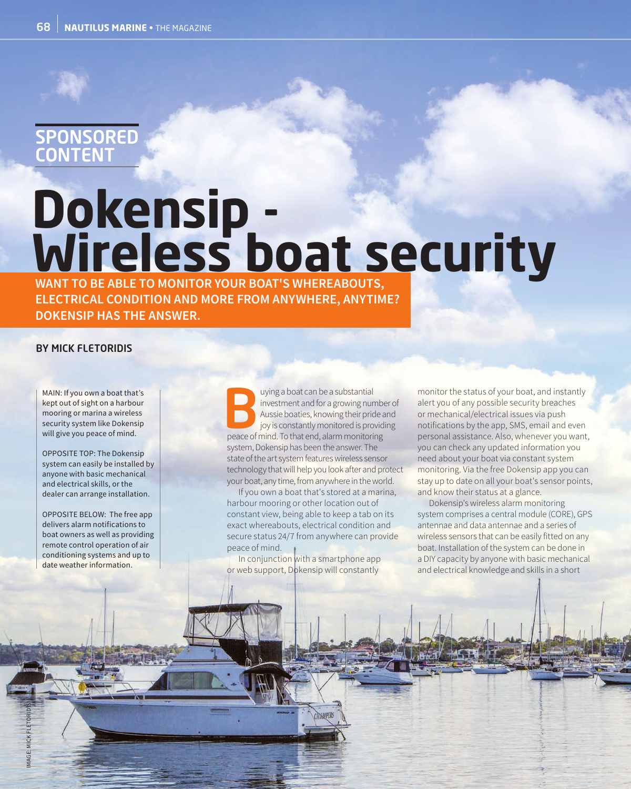## SPONSORED CONTENT

## **Dokensip - Wireless boat security**

**WANT TO BE ABLE TO MONITOR YOUR BOAT'S WHEREABOUTS, ELECTRICAL CONDITION AND MORE FROM ANYWHERE, ANYTIME? DOKENSIP HAS THE ANSWER.**

## BY MICK FLETORIDIS

MAIN: If you own a boat that's kept out of sight on a harbour mooring or marina a wireless security system like Dokensip will give you peace of mind.

OPPOSITE TOP: The Dokensip system can easily be installed by anyone with basic mechanical and electrical skills, or the dealer can arrange installation.

OPPOSITE BELOW: The free app delivers alarm notifications to boat owners as well as providing remote control operation of air conditioning systems and up to date weather information.

IMAGE: MICK FLETORIDIS

uying a boat can be a substantial<br>investment and for a growing nur<br>Aussie boaties, knowing their price<br>joy is constantly monitored is pro<br>neace of mind. To that end, alarm monitori investment and for a growing number of Aussie boaties, knowing their pride and joy is constantly monitored is providing peace of mind. To that end, alarm monitoring system, Dokensip has been the answer. The state of the art system features wireless sensor technology that will help you look after and protect your boat, any time, from anywhere in the world.

If you own a boat that's stored at a marina, harbour mooring or other location out of constant view, being able to keep a tab on its exact whereabouts, electrical condition and secure status 24/7 from anywhere can provide peace of mind.

In conjunction with a smartphone app or web support, Dokensip will constantly

monitor the status of your boat, and instantly alert you of any possible security breaches or mechanical/electrical issues via push notifications by the app, SMS, email and even personal assistance. Also, whenever you want, you can check any updated information you need about your boat via constant system monitoring. Via the free Dokensip app you can stay up to date on all your boat's sensor points, and know their status at a glance.

Dokensip's wireless alarm monitoring system comprises a central module (CORE), GPS antennae and data antennae and a series of wireless sensors that can be easily fitted on any boat. Installation of the system can be done in a DIY capacity by anyone with basic mechanical and electrical knowledge and skills in a short